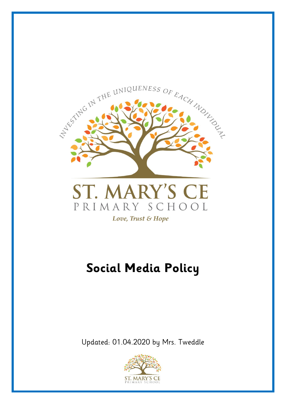

Love, Trust & Hope

# **Social Media Policy**

Updated: 01.04.2020 by Mrs. Tweddle

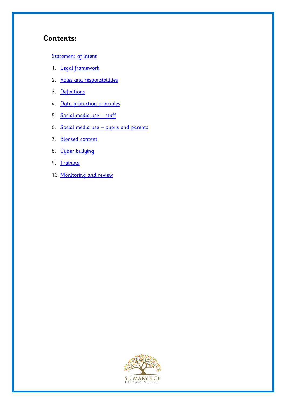# **Contents:**

#### [Statement of intent](#page-2-0)

- 1. Legal framework
- 2. [Roles and responsibilities](#page-3-0)
- 3. [Definitions](#page-4-0)
- 4. [Data protection principles](#page-5-0)
- 5. [Social media use](#page-6-0)  staff
- 6. Social media use [pupils and parents](#page-8-0)
- 7. [Blocked content](#page-9-0)
- 8. [Cyber bullying](#page-9-1)
- 9. [Training](#page-10-0)
- 10. [Monitoring and review](#page-11-0)

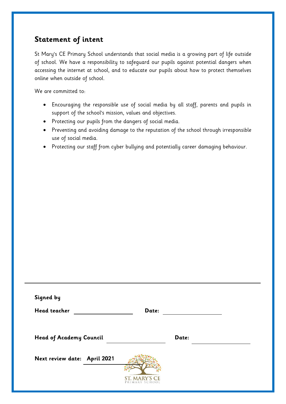# <span id="page-2-0"></span>**Statement of intent**

St Mary's CE Primary School understands that social media is a growing part of life outside of school. We have a responsibility to safeguard our pupils against potential dangers when accessing the internet at school, and to educate our pupils about how to protect themselves online when outside of school.

We are committed to:

- Encouraging the responsible use of social media by all staff, parents and pupils in support of the school's mission, values and objectives.
- Protecting our pupils from the dangers of social media.
- Preventing and avoiding damage to the reputation of the school through irresponsible use of social media.
- Protecting our staff from cyber bullying and potentially career damaging behaviour.

| Signed by<br><b>Head teacher</b>                               | Date:                                  |       |  |
|----------------------------------------------------------------|----------------------------------------|-------|--|
| <b>Head of Academy Council</b><br>Next review date: April 2021 | <b>ST. MARY'S CE</b><br>PRIMARY SCHOOL | Date: |  |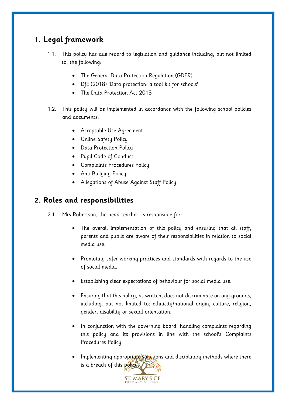# **1. Legal framework**

- 1.1. This policy has due regard to legislation and guidance including, but not limited to, the following:
	- The General Data Protection Regulation (GDPR)
	- DfE (2018) 'Data protection: a tool kit for schools'
	- The Data Protection Act 2018
- 1.2. This policy will be implemented in accordance with the following school policies and documents:
	- Acceptable Use Agreement
	- Online Safety Policy
	- Data Protection Policy
	- Pupil Code of Conduct
	- Complaints Procedures Policy
	- Anti-Bullying Policy
	- Allegations of Abuse Against Staff Policy

## <span id="page-3-0"></span>**2. Roles and responsibilities**

- 2.1. Mrs Robertson, the head teacher, is responsible for:
	- The overall implementation of this policy and ensuring that all staff, parents and pupils are aware of their responsibilities in relation to social media use.
	- Promoting safer working practices and standards with regards to the use of social media.
	- Establishing clear expectations of behaviour for social media use.
	- Ensuring that this policy, as written, does not discriminate on any grounds, including, but not limited to: ethnicity/national origin, culture, religion, gender, disability or sexual orientation.
	- In conjunction with the governing board, handling complaints regarding this policy and its provisions in line with the school's Complaints Procedures Policy.
	- Implementing appropriate sanctions and disciplinary methods where there is a breach of this policy.

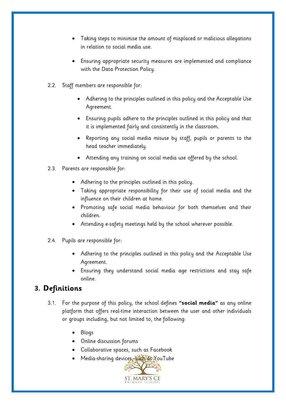- Taking steps to minimise the amount of misplaced or malicious allegations in relation to social media use.
- Ensuring appropriate security measures are implemented and compliance with the Data Protection Policy.
- 2.2. Staff members are responsible for:
	- Adhering to the principles outlined in this policy and the Acceptable Use Agreement.
	- Ensuring pupils adhere to the principles outlined in this policy and that it is implemented fairly and consistently in the classroom.
	- Reporting any social media misuse by staff, pupils or parents to the head teacher immediately.
	- Attending any training on social media use offered by the school.
- 2.3. Parents are responsible for:
	- Adhering to the principles outlined in this policy.
	- Taking appropriate responsibility for their use of social media and the influence on their children at home.
	- Promoting safe social media behaviour for both themselves and their children.
	- Attending e-safety meetings held by the school wherever possible.
- 2.4. Pupils are responsible for:
	- Adhering to the principles outlined in this policy and the Acceptable Use Agreement.
	- Ensuring they understand social media age restrictions and stay safe online.

## <span id="page-4-0"></span>**3. Definitions**

- 3.1. For the purpose of this policy, the school defines **"social media"** as any online platform that offers real-time interaction between the user and other individuals or groups including, but not limited to, the following:
	- Blogs
	- Online discussion forums
	- Collaborative spaces, such as Facebook
	- Media-sharing devices, such as YouTube

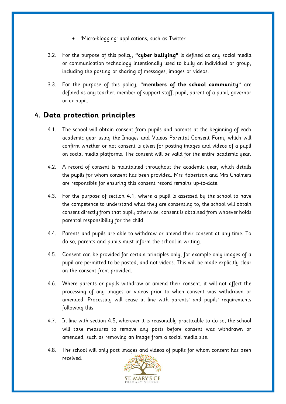- 'Micro-blogging' applications, such as Twitter
- 3.2. For the purpose of this policy, **"cyber bullying"** is defined as any social media or communication technology intentionally used to bully an individual or group, including the posting or sharing of messages, images or videos.
- 3.3. For the purpose of this policy, **"members of the school community"** are defined as any teacher, member of support staff, pupil, parent of a pupil, governor or ex-pupil.

#### <span id="page-5-0"></span>**4. Data protection principles**

- 4.1. The school will obtain consent from pupils and parents at the beginning of each academic year using the Images and Videos Parental Consent Form, which will confirm whether or not consent is given for posting images and videos of a pupil on social media platforms. The consent will be valid for the entire academic year.
- 4.2. A record of consent is maintained throughout the academic year, which details the pupils for whom consent has been provided. Mrs Robertson and Mrs Chalmers are responsible for ensuring this consent record remains up-to-date.
- 4.3. For the purpose of section 4.1, where a pupil is assessed by the school to have the competence to understand what they are consenting to, the school will obtain consent directly from that pupil; otherwise, consent is obtained from whoever holds parental responsibility for the child.
- 4.4. Parents and pupils are able to withdraw or amend their consent at any time. To do so, parents and pupils must inform the school in writing.
- 4.5. Consent can be provided for certain principles only, for example only images of a pupil are permitted to be posted, and not videos. This will be made explicitly clear on the consent from provided.
- 4.6. Where parents or pupils withdraw or amend their consent, it will not affect the processing of any images or videos prior to when consent was withdrawn or amended. Processing will cease in line with parents' and pupils' requirements following this.
- 4.7. In line with section 4.5, wherever it is reasonably practicable to do so, the school will take measures to remove any posts before consent was withdrawn or amended, such as removing an image from a social media site.
- 4.8. The school will only post images and videos of pupils for whom consent has been received.

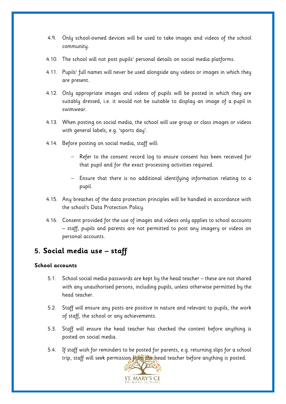- 4.9. Only school-owned devices will be used to take images and videos of the school community.
- 4.10. The school will not post pupils' personal details on social media platforms.
- 4.11. Pupils' full names will never be used alongside any videos or images in which they are present.
- 4.12. Only appropriate images and videos of pupils will be posted in which they are suitably dressed, i.e. it would not be suitable to display an image of a pupil in swimwear.
- 4.13. When posting on social media, the school will use group or class images or videos with general labels, e.g. 'sports day'.
- 4.14. Before posting on social media, staff will:
	- Refer to the consent record log to ensure consent has been received for that pupil and for the exact processing activities required.
	- Ensure that there is no additional identifying information relating to a pupil.
- 4.15. Any breaches of the data protection principles will be handled in accordance with the school's Data Protection Policy.
- 4.16. Consent provided for the use of images and videos only applies to school accounts – staff, pupils and parents are not permitted to post any imagery or videos on personal accounts.

# <span id="page-6-0"></span>**5. Social media use – staff**

#### **School accounts**

- 5.1. School social media passwords are kept by the head teacher these are not shared with any unauthorised persons, including pupils, unless otherwise permitted by the head teacher.
- 5.2. Staff will ensure any posts are positive in nature and relevant to pupils, the work of staff, the school or any achievements.
- 5.3. Staff will ensure the head teacher has checked the content before anything is posted on social media.
- 5.4. If staff wish for reminders to be posted for parents, e.g. returning slips for a school trip, staff will seek permission from the head teacher before anything is posted.

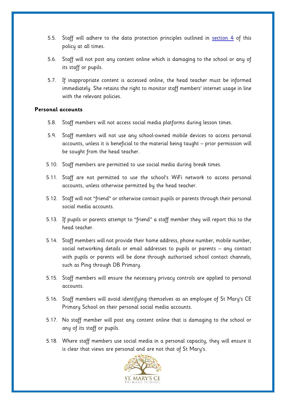- 5.5. Staff will adhere to the data protection principles outlined in [section 4](#page-5-0) of this policy at all times.
- 5.6. Staff will not post any content online which is damaging to the school or any of its staff or pupils.
- 5.7. If inappropriate content is accessed online, the head teacher must be informed immediately. She retains the right to monitor staff members' internet usage in line with the relevant policies.

#### **Personal accounts**

- 5.8. Staff members will not access social media platforms during lesson times.
- 5.9. Staff members will not use any school-owned mobile devices to access personal accounts, unless it is beneficial to the material being taught – prior permission will be sought from the head teacher.
- 5.10. Staff members are permitted to use social media during break times.
- 5.11. Staff are not permitted to use the school's WiFi network to access personal accounts, unless otherwise permitted by the head teacher.
- 5.12. Staff will not "friend" or otherwise contact pupils or parents through their personal social media accounts.
- 5.13. If pupils or parents attempt to "friend" a staff member they will report this to the head teacher.
- 5.14. Staff members will not provide their home address, phone number, mobile number, social networking details or email addresses to pupils or parents – any contact with pupils or parents will be done through authorised school contact channels, such as Ping through DB Primary.
- 5.15. Staff members will ensure the necessary privacy controls are applied to personal accounts.
- 5.16. Staff members will avoid identifying themselves as an employee of St Mary's CE Primary School on their personal social media accounts.
- 5.17. No staff member will post any content online that is damaging to the school or any of its staff or pupils.
- 5.18. Where staff members use social media in a personal capacity, they will ensure it is clear that views are personal and are not that of St Mary's.

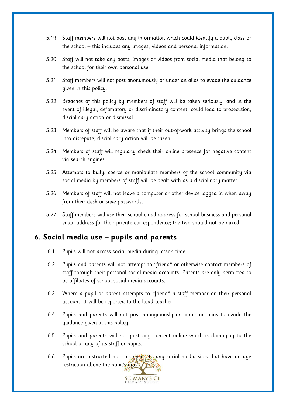- 5.19. Staff members will not post any information which could identify a pupil, class or the school – this includes any images, videos and personal information.
- 5.20. Staff will not take any posts, images or videos from social media that belong to the school for their own personal use.
- 5.21. Staff members will not post anonymously or under an alias to evade the guidance given in this policy.
- 5.22. Breaches of this policy by members of staff will be taken seriously, and in the event of illegal, defamatory or discriminatory content, could lead to prosecution, disciplinary action or dismissal.
- 5.23. Members of staff will be aware that if their out-of-work activity brings the school into disrepute, disciplinary action will be taken.
- 5.24. Members of staff will regularly check their online presence for negative content via search engines.
- 5.25. Attempts to bully, coerce or manipulate members of the school community via social media by members of staff will be dealt with as a disciplinary matter.
- 5.26. Members of staff will not leave a computer or other device logged in when away from their desk or save passwords.
- 5.27. Staff members will use their school email address for school business and personal email address for their private correspondence; the two should not be mixed.

#### <span id="page-8-0"></span>**6. Social media use – pupils and parents**

- 6.1. Pupils will not access social media during lesson time.
- 6.2. Pupils and parents will not attempt to "friend" or otherwise contact members of staff through their personal social media accounts. Parents are only permitted to be affiliates of school social media accounts.
- 6.3. Where a pupil or parent attempts to "friend" a staff member on their personal account, it will be reported to the head teacher.
- 6.4. Pupils and parents will not post anonymously or under an alias to evade the guidance given in this policy.
- 6.5. Pupils and parents will not post any content online which is damaging to the school or any of its staff or pupils.
- 6.6. Pupils are instructed not to sign up to any social media sites that have an age restriction above the pupil's age.

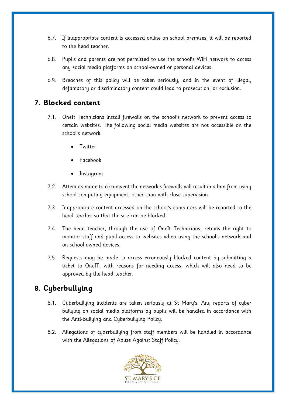- 6.7. If inappropriate content is accessed online on school premises, it will be reported to the head teacher.
- 6.8. Pupils and parents are not permitted to use the school's WiFi network to access any social media platforms on school-owned or personal devices.
- 6.9. Breaches of this policy will be taken seriously, and in the event of illegal, defamatory or discriminatory content could lead to prosecution, or exclusion.

#### <span id="page-9-0"></span>**7. Blocked content**

- 7.1. OneIt Technicians install firewalls on the school's network to prevent access to certain websites. The following social media websites are not accessible on the school's network:
	- **Twitter**
	- Facebook
	- Instagram
- 7.2. Attempts made to circumvent the network's firewalls will result in a ban from using school computing equipment, other than with close supervision.
- 7.3. Inappropriate content accessed on the school's computers will be reported to the head teacher so that the site can be blocked.
- 7.4. The head teacher, through the use of OneIt Technicians, retains the right to monitor staff and pupil access to websites when using the school's network and on school-owned devices.
- 7.5. Requests may be made to access erroneously blocked content by submitting a ticket to OneIT, with reasons for needing access, which will also need to be approved by the head teacher.

# <span id="page-9-1"></span>**8. Cyberbullying**

- 8.1. Cyberbullying incidents are taken seriously at St Mary's. Any reports of cyber bullying on social media platforms by pupils will be handled in accordance with the Anti-Bullying and Cyberbullying Policy.
- 8.2. Allegations of cyberbullying from staff members will be handled in accordance with the Allegations of Abuse Against Staff Policy.

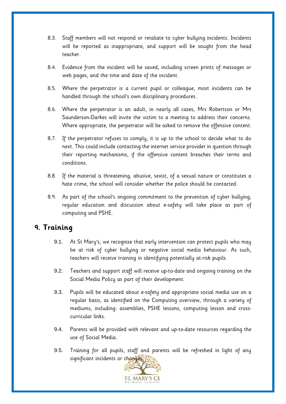- 8.3. Staff members will not respond or retaliate to cyber bullying incidents. Incidents will be reported as inappropriate, and support will be sought from the head teacher.
- 8.4. Evidence from the incident will be saved, including screen prints of messages or web pages, and the time and date of the incident.
- 8.5. Where the perpetrator is a current pupil or colleague, most incidents can be handled through the school's own disciplinary procedures.
- 8.6. Where the perpetrator is an adult, in nearly all cases, Mrs Robertson or Mrs Saunderson-Darkes will invite the victim to a meeting to address their concerns. Where appropriate, the perpetrator will be asked to remove the offensive content.
- 8.7. If the perpetrator refuses to comply, it is up to the school to decide what to do next. This could include contacting the internet service provider in question through their reporting mechanisms, if the offensive content breaches their terms and conditions.
- 8.8. If the material is threatening, abusive, sexist, of a sexual nature or constitutes a hate crime, the school will consider whether the police should be contacted.
- 8.9. As part of the school's ongoing commitment to the prevention of cyber bullying, regular education and discussion about e-safety will take place as part of computing and PSHE.

## <span id="page-10-0"></span>**9. Training**

- 9.1. At St Mary's, we recognise that early intervention can protect pupils who may be at risk of cyber bullying or negative social media behaviour. As such, teachers will receive training in identifying potentially at-risk pupils.
- 9.2. Teachers and support staff will receive up-to-date and ongoing training on the Social Media Policy as part of their development.
- 9.3. Pupils will be educated about e-safety and appropriate social media use on a regular basis, as identified on the Computing overview, through a variety of mediums, including: assemblies, PSHE lessons, computing lesson and crosscurricular links.
- 9.4. Parents will be provided with relevant and up-to-date resources regarding the use of Social Media.
- 9.5. Training for all pupils, staff and parents will be refreshed in light of any significant incidents or changes.

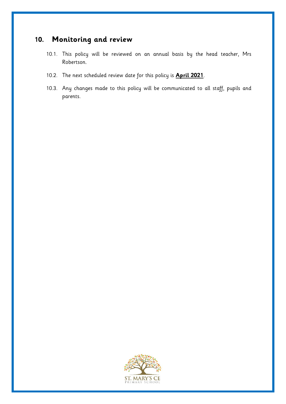# <span id="page-11-0"></span>**10. Monitoring and review**

- 10.1. This policy will be reviewed on an annual basis by the head teacher, Mrs Robertson.
- 10.2. The next scheduled review date for this policy is **April 2021**.
- 10.3. Any changes made to this policy will be communicated to all staff, pupils and parents.